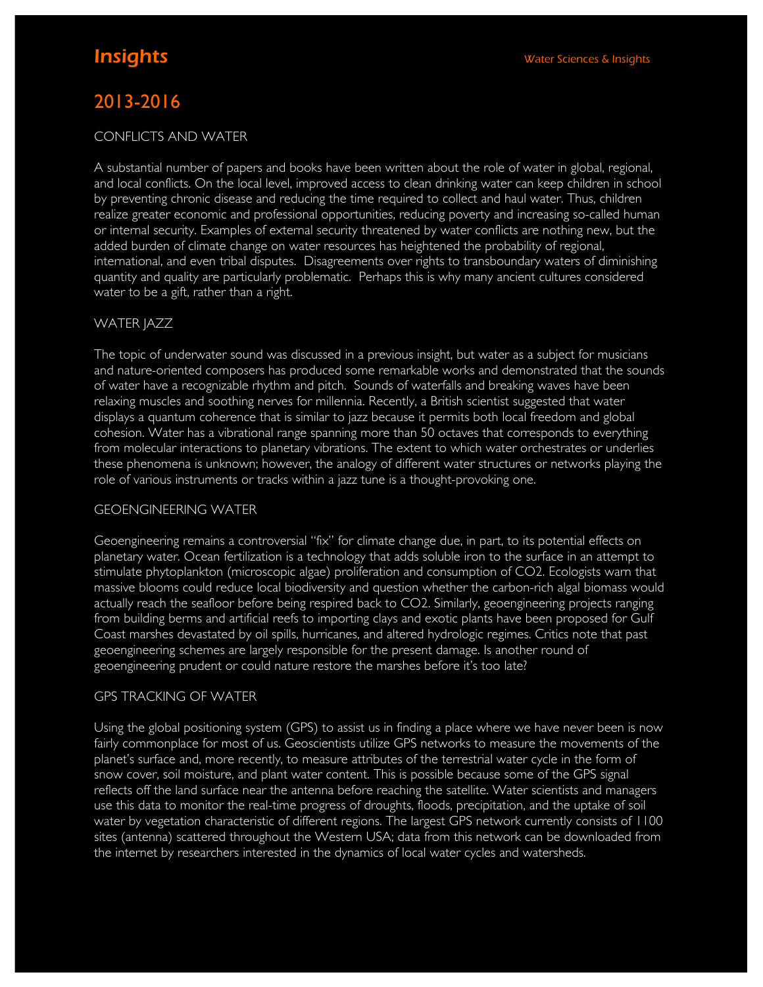# 2013-2016

# CONFLICTS AND WATER

A substantial number of papers and books have been written about the role of water in global, regional, and local conflicts. On the local level, improved access to clean drinking water can keep children in school by preventing chronic disease and reducing the time required to collect and haul water. Thus, children realize greater economic and professional opportunities, reducing poverty and increasing so-called human or internal security. Examples of external security threatened by water conflicts are nothing new, but the added burden of climate change on water resources has heightened the probability of regional, international, and even tribal disputes. Disagreements over rights to transboundary waters of diminishing quantity and quality are particularly problematic. Perhaps this is why many ancient cultures considered water to be a gift, rather than a right.

# WATER JAZZ

The topic of underwater sound was discussed in a previous insight, but water as a subject for musicians and nature-oriented composers has produced some remarkable works and demonstrated that the sounds of water have a recognizable rhythm and pitch. Sounds of waterfalls and breaking waves have been relaxing muscles and soothing nerves for millennia. Recently, a British scientist suggested that water displays a quantum coherence that is similar to jazz because it permits both local freedom and global cohesion. Water has a vibrational range spanning more than 50 octaves that corresponds to everything from molecular interactions to planetary vibrations. The extent to which water orchestrates or underlies these phenomena is unknown; however, the analogy of different water structures or networks playing the role of various instruments or tracks within a jazz tune is a thought-provoking one.

# GEOENGINEERING WATER

Geoengineering remains a controversial "fix" for climate change due, in part, to its potential effects on planetary water. Ocean fertilization is a technology that adds soluble iron to the surface in an attempt to stimulate phytoplankton (microscopic algae) proliferation and consumption of CO2. Ecologists warn that massive blooms could reduce local biodiversity and question whether the carbon-rich algal biomass would actually reach the seafloor before being respired back to CO2. Similarly, geoengineering projects ranging from building berms and artificial reefs to importing clays and exotic plants have been proposed for Gulf Coast marshes devastated by oil spills, hurricanes, and altered hydrologic regimes. Critics note that past geoengineering schemes are largely responsible for the present damage. Is another round of geoengineering prudent or could nature restore the marshes before it's too late?

# GPS TRACKING OF WATER

Using the global positioning system (GPS) to assist us in finding a place where we have never been is now fairly commonplace for most of us. Geoscientists utilize GPS networks to measure the movements of the planet's surface and, more recently, to measure attributes of the terrestrial water cycle in the form of snow cover, soil moisture, and plant water content. This is possible because some of the GPS signal reflects off the land surface near the antenna before reaching the satellite. Water scientists and managers use this data to monitor the real-time progress of droughts, floods, precipitation, and the uptake of soil water by vegetation characteristic of different regions. The largest GPS network currently consists of 1100 sites (antenna) scattered throughout the Western USA; data from this network can be downloaded from the internet by researchers interested in the dynamics of local water cycles and watersheds.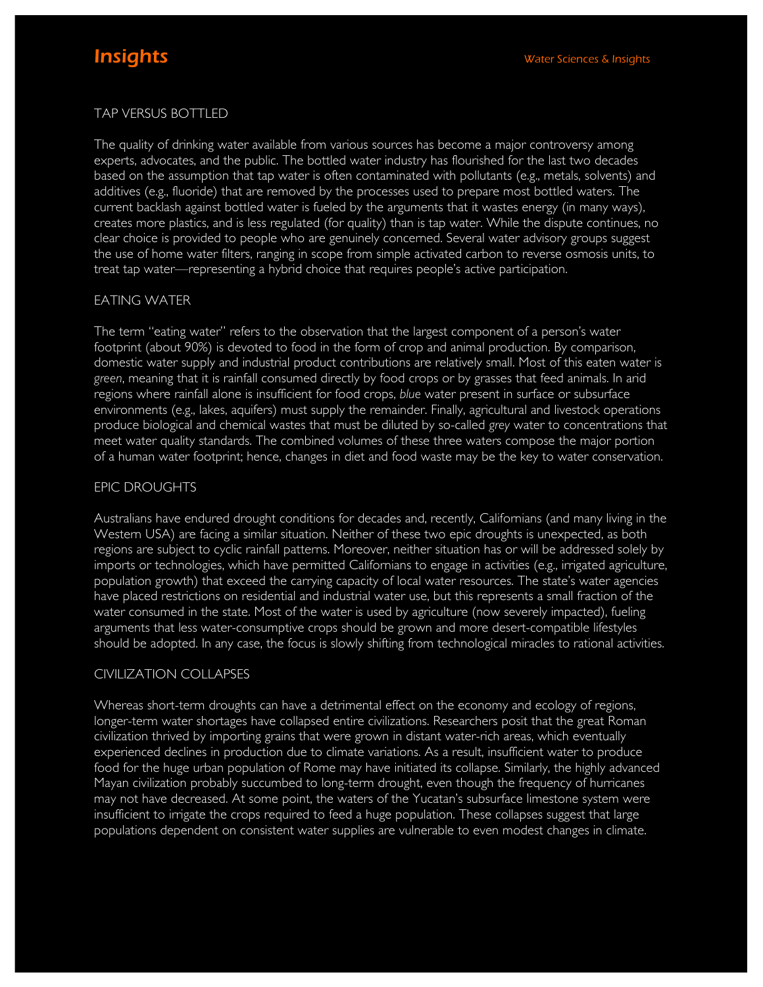# TAP VERSUS BOTTLED

The quality of drinking water available from various sources has become a major controversy among experts, advocates, and the public. The bottled water industry has flourished for the last two decades based on the assumption that tap water is often contaminated with pollutants (e.g., metals, solvents) and additives (e.g., fluoride) that are removed by the processes used to prepare most bottled waters. The current backlash against bottled water is fueled by the arguments that it wastes energy (in many ways), creates more plastics, and is less regulated (for quality) than is tap water. While the dispute continues, no clear choice is provided to people who are genuinely concerned. Several water advisory groups suggest the use of home water filters, ranging in scope from simple activated carbon to reverse osmosis units, to treat tap water—representing a hybrid choice that requires people's active participation.

# EATING WATER

The term "eating water" refers to the observation that the largest component of a person's water footprint (about 90%) is devoted to food in the form of crop and animal production. By comparison, domestic water supply and industrial product contributions are relatively small. Most of this eaten water is *green*, meaning that it is rainfall consumed directly by food crops or by grasses that feed animals. In arid regions where rainfall alone is insufficient for food crops, *blue* water present in surface or subsurface environments (e.g., lakes, aquifers) must supply the remainder. Finally, agricultural and livestock operations produce biological and chemical wastes that must be diluted by so-called *grey* water to concentrations that meet water quality standards. The combined volumes of these three waters compose the major portion of a human water footprint; hence, changes in diet and food waste may be the key to water conservation.

# EPIC DROUGHTS

Australians have endured drought conditions for decades and, recently, Californians (and many living in the Western USA) are facing a similar situation. Neither of these two epic droughts is unexpected, as both regions are subject to cyclic rainfall patterns. Moreover, neither situation has or will be addressed solely by imports or technologies, which have permitted Californians to engage in activities (e.g., irrigated agriculture, population growth) that exceed the carrying capacity of local water resources. The state's water agencies have placed restrictions on residential and industrial water use, but this represents a small fraction of the water consumed in the state. Most of the water is used by agriculture (now severely impacted), fueling arguments that less water-consumptive crops should be grown and more desert-compatible lifestyles should be adopted. In any case, the focus is slowly shifting from technological miracles to rational activities.

# CIVILIZATION COLLAPSES

Whereas short-term droughts can have a detrimental effect on the economy and ecology of regions, longer-term water shortages have collapsed entire civilizations. Researchers posit that the great Roman civilization thrived by importing grains that were grown in distant water-rich areas, which eventually experienced declines in production due to climate variations. As a result, insufficient water to produce food for the huge urban population of Rome may have initiated its collapse. Similarly, the highly advanced Mayan civilization probably succumbed to long-term drought, even though the frequency of hurricanes may not have decreased. At some point, the waters of the Yucatan's subsurface limestone system were insufficient to irrigate the crops required to feed a huge population. These collapses suggest that large populations dependent on consistent water supplies are vulnerable to even modest changes in climate.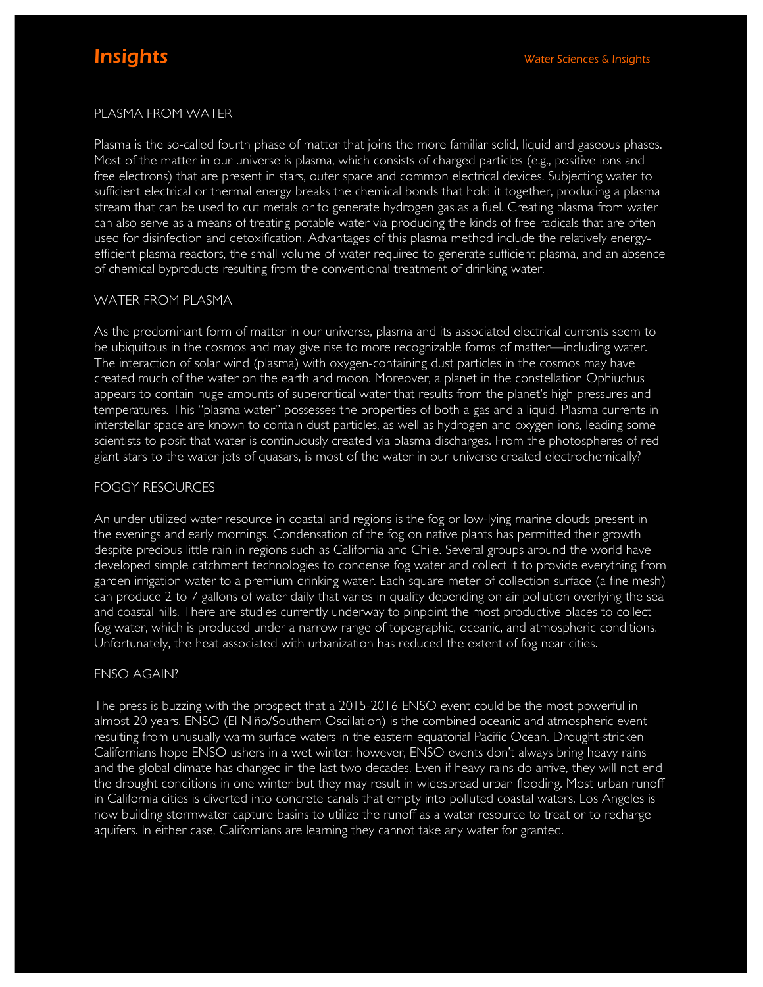# PLASMA FROM WATER

Plasma is the so-called fourth phase of matter that joins the more familiar solid, liquid and gaseous phases. Most of the matter in our universe is plasma, which consists of charged particles (e.g., positive ions and free electrons) that are present in stars, outer space and common electrical devices. Subjecting water to sufficient electrical or thermal energy breaks the chemical bonds that hold it together, producing a plasma stream that can be used to cut metals or to generate hydrogen gas as a fuel. Creating plasma from water can also serve as a means of treating potable water via producing the kinds of free radicals that are often used for disinfection and detoxification. Advantages of this plasma method include the relatively energyefficient plasma reactors, the small volume of water required to generate sufficient plasma, and an absence of chemical byproducts resulting from the conventional treatment of drinking water.

#### WATER FROM PLASMA

As the predominant form of matter in our universe, plasma and its associated electrical currents seem to be ubiquitous in the cosmos and may give rise to more recognizable forms of matter—including water. The interaction of solar wind (plasma) with oxygen-containing dust particles in the cosmos may have created much of the water on the earth and moon. Moreover, a planet in the constellation Ophiuchus appears to contain huge amounts of supercritical water that results from the planet's high pressures and temperatures. This "plasma water" possesses the properties of both a gas and a liquid. Plasma currents in interstellar space are known to contain dust particles, as well as hydrogen and oxygen ions, leading some scientists to posit that water is continuously created via plasma discharges. From the photospheres of red giant stars to the water jets of quasars, is most of the water in our universe created electrochemically?

# FOGGY RESOURCES

An under utilized water resource in coastal arid regions is the fog or low-lying marine clouds present in the evenings and early mornings. Condensation of the fog on native plants has permitted their growth despite precious little rain in regions such as California and Chile. Several groups around the world have developed simple catchment technologies to condense fog water and collect it to provide everything from garden irrigation water to a premium drinking water. Each square meter of collection surface (a fine mesh) can produce 2 to 7 gallons of water daily that varies in quality depending on air pollution overlying the sea and coastal hills. There are studies currently underway to pinpoint the most productive places to collect fog water, which is produced under a narrow range of topographic, oceanic, and atmospheric conditions. Unfortunately, the heat associated with urbanization has reduced the extent of fog near cities.

# ENSO AGAIN?

The press is buzzing with the prospect that a 2015-2016 ENSO event could be the most powerful in almost 20 years. ENSO (El Niño/Southern Oscillation) is the combined oceanic and atmospheric event resulting from unusually warm surface waters in the eastern equatorial Pacific Ocean. Drought-stricken Californians hope ENSO ushers in a wet winter; however, ENSO events don't always bring heavy rains and the global climate has changed in the last two decades. Even if heavy rains do arrive, they will not end the drought conditions in one winter but they may result in widespread urban flooding. Most urban runoff in California cities is diverted into concrete canals that empty into polluted coastal waters. Los Angeles is now building stormwater capture basins to utilize the runoff as a water resource to treat or to recharge aquifers. In either case, Californians are learning they cannot take any water for granted.